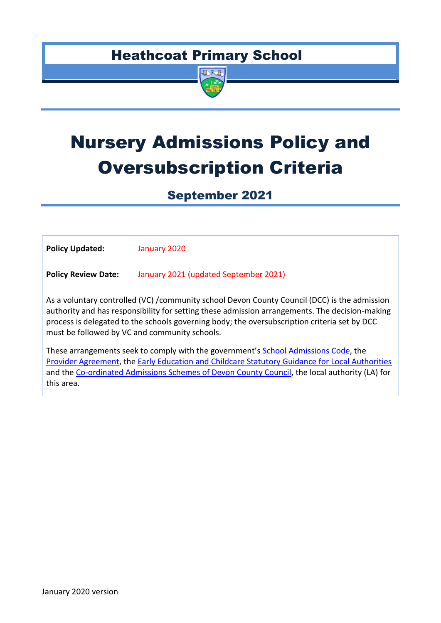# Heathcoat Primary School



# Nursery Admissions Policy and Oversubscription Criteria

September 2021

| <b>Policy Updated:</b>                                                                                                                                                                                                                                                                                                                          | January 2020                          |  |
|-------------------------------------------------------------------------------------------------------------------------------------------------------------------------------------------------------------------------------------------------------------------------------------------------------------------------------------------------|---------------------------------------|--|
| <b>Policy Review Date:</b>                                                                                                                                                                                                                                                                                                                      | January 2021 (updated September 2021) |  |
| As a voluntary controlled (VC) /community school Devon County Council (DCC) is the admission<br>authority and has responsibility for setting these admission arrangements. The decision-making<br>process is delegated to the schools governing body; the oversubscription criteria set by DCC<br>must be followed by VC and community schools. |                                       |  |
| These arrangements seek to comply with the government's School Admissions Code, the<br>Provider Agreement, the Early Education and Childcare Statutory Guidance for Local Authorities<br>and the Co-ordinated Admissions Schemes of Devon County Council, the local authority (LA) for<br>this area.                                            |                                       |  |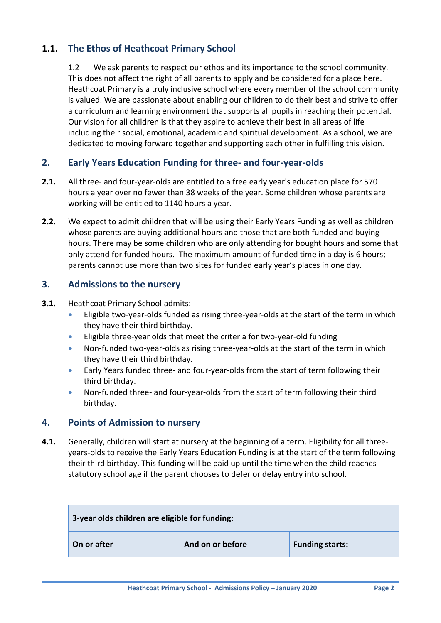# **1.1. The Ethos of Heathcoat Primary School**

1.2 We ask parents to respect our ethos and its importance to the school community. This does not affect the right of all parents to apply and be considered for a place here. Heathcoat Primary is a truly inclusive school where every member of the school community is valued. We are passionate about enabling our children to do their best and strive to offer a curriculum and learning environment that supports all pupils in reaching their potential. Our vision for all children is that they aspire to achieve their best in all areas of life including their social, emotional, academic and spiritual development. As a school, we are dedicated to moving forward together and supporting each other in fulfilling this vision.

# **2. Early Years Education Funding for three- and four-year-olds**

- **2.1.** All three- and four-year-olds are entitled to a free early year's education place for 570 hours a year over no fewer than 38 weeks of the year. Some children whose parents are working will be entitled to 1140 hours a year.
- **2.2.** We expect to admit children that will be using their Early Years Funding as well as children whose parents are buying additional hours and those that are both funded and buying hours. There may be some children who are only attending for bought hours and some that only attend for funded hours. The maximum amount of funded time in a day is 6 hours; parents cannot use more than two sites for funded early year's places in one day.

# **3. Admissions to the nursery**

#### **3.1.** Heathcoat Primary School admits:

- Eligible two-year-olds funded as rising three-year-olds at the start of the term in which they have their third birthday.
- Eligible three-year olds that meet the criteria for two-year-old funding
- Non-funded two-year-olds as rising three-year-olds at the start of the term in which they have their third birthday.
- Early Years funded three- and four-year-olds from the start of term following their third birthday.
- Non-funded three- and four-year-olds from the start of term following their third birthday.

# **4. Points of Admission to nursery**

**4.1.** Generally, children will start at nursery at the beginning of a term. Eligibility for all threeyears-olds to receive the Early Years Education Funding is at the start of the term following their third birthday. This funding will be paid up until the time when the child reaches statutory school age if the parent chooses to defer or delay entry into school.

| 3-year olds children are eligible for funding: |                  |                        |
|------------------------------------------------|------------------|------------------------|
| On or after                                    | And on or before | <b>Funding starts:</b> |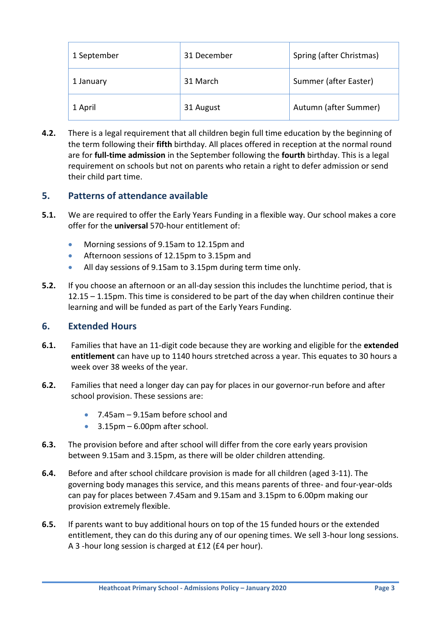| 1 September | 31 December | Spring (after Christmas) |  |
|-------------|-------------|--------------------------|--|
| 1 January   | 31 March    | Summer (after Easter)    |  |
| 1 April     | 31 August   | Autumn (after Summer)    |  |

**4.2.** There is a legal requirement that all children begin full time education by the beginning of the term following their **fifth** birthday. All places offered in reception at the normal round are for **full-time admission** in the September following the **fourth** birthday. This is a legal requirement on schools but not on parents who retain a right to defer admission or send their child part time.

# **5. Patterns of attendance available**

- **5.1.** We are required to offer the Early Years Funding in a flexible way. Our school makes a core offer for the **universal** 570-hour entitlement of:
	- Morning sessions of 9.15am to 12.15pm and
	- Afternoon sessions of 12.15pm to 3.15pm and
	- All day sessions of 9.15am to 3.15pm during term time only.
- **5.2.** If you choose an afternoon or an all-day session this includes the lunchtime period, that is 12.15 – 1.15pm. This time is considered to be part of the day when children continue their learning and will be funded as part of the Early Years Funding.

# **6. Extended Hours**

- **6.1.** Families that have an 11-digit code because they are working and eligible for the **extended entitlement** can have up to 1140 hours stretched across a year. This equates to 30 hours a week over 38 weeks of the year.
- **6.2.** Families that need a longer day can pay for places in our governor-run before and after school provision. These sessions are:
	- 7.45am 9.15am before school and
	- $\bullet$  3.15pm 6.00pm after school.
- **6.3.** The provision before and after school will differ from the core early years provision between 9.15am and 3.15pm, as there will be older children attending.
- **6.4.** Before and after school childcare provision is made for all children (aged 3-11). The governing body manages this service, and this means parents of three- and four-year-olds can pay for places between 7.45am and 9.15am and 3.15pm to 6.00pm making our provision extremely flexible.
- **6.5.** If parents want to buy additional hours on top of the 15 funded hours or the extended entitlement, they can do this during any of our opening times. We sell 3-hour long sessions. A 3 -hour long session is charged at £12 (£4 per hour).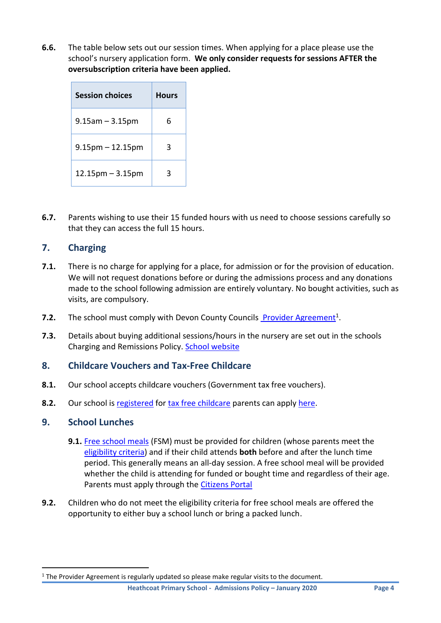**6.6.** The table below sets out our session times. When applying for a place please use the school's nursery application form. **We only consider requests for sessions AFTER the oversubscription criteria have been applied.** 

| <b>Session choices</b> | <b>Hours</b> |
|------------------------|--------------|
| $9.15$ am $-3.15$ pm   | 6            |
| $9.15$ pm $-12.15$ pm  | 3            |
| $12.15$ pm $-3.15$ pm  | з            |

**6.7.** Parents wishing to use their 15 funded hours with us need to choose sessions carefully so that they can access the full 15 hours.

# **7. Charging**

- **7.1.** There is no charge for applying for a place, for admission or for the provision of education. We will not request donations before or during the admissions process and any donations made to the school following admission are entirely voluntary. No bought activities, such as visits, are compulsory.
- **7.2.** The school must comply with Devon County Councils [Provider Agreement](https://devoncc.sharepoint.com/:b:/s/PublicDocs/Education/ERbHQs75hfNEu7ZDu-r8zj8BOlsyHvkkJXvSLPOao6DV-g?e=0RfGsj)<sup>1</sup>.
- **7.3.** Details about buying additional sessions/hours in the nursery are set out in the schools Charging and Remissions Policy. [School website](https://heathcoat.devon.sch.uk/policies-and-other-documentation/)

# **8. Childcare Vouchers and Tax-Free Childcare**

- **8.1.** Our school accepts childcare vouchers (Government tax free vouchers).
- **8.2.** Our school is [registered](https://new.devon.gov.uk/eycs/for-providers/business-finance-and-funding/tax-free-childcare/) for [tax free childcare](https://www.gov.uk/government/news/tax-free-childcare-10-things-parents-should-know) parents can apply [here.](https://www.gov.uk/tax-free-childcare)

# **9. School Lunches**

1

- **9.1.** [Free school meals](https://new.devon.gov.uk/eycs/for-providers/early-years-and-childcare-in-schools/free-school-meals-for-nursery-children/) (FSM) must be provided for children (whose parents meet the [eligibility criteria\)](https://new.devon.gov.uk/educationandfamilies/school-information/school-meals) and if their child attends **both** before and after the lunch time period. This generally means an all-day session. A free school meal will be provided whether the child is attending for funded or bought time and regardless of their age. Parents must apply through the [Citizens Portal](https://oneonline.devon.gov.uk/CCSCitizenPortal_LIVE/Account/Register)
- **9.2.** Children who do not meet the eligibility criteria for free school meals are offered the opportunity to either buy a school lunch or bring a packed lunch.

<sup>&</sup>lt;sup>1</sup> The Provider Agreement is regularly updated so please make regular visits to the document.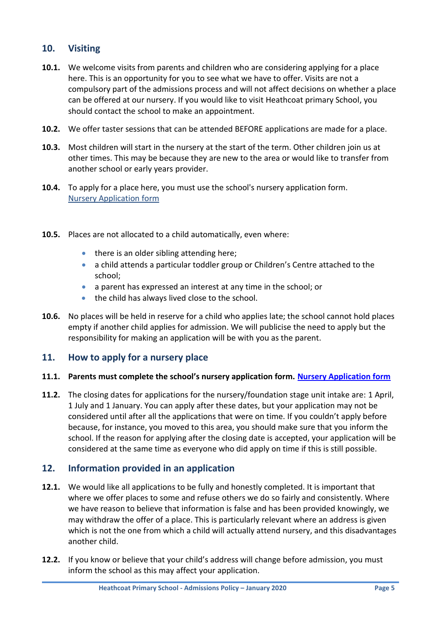# **10. Visiting**

- **10.1.** We welcome visits from parents and children who are considering applying for a place here. This is an opportunity for you to see what we have to offer. Visits are not a compulsory part of the admissions process and will not affect decisions on whether a place can be offered at our nursery. If you would like to visit Heathcoat primary School, you should contact the school to make an appointment.
- **10.2.** We offer taster sessions that can be attended BEFORE applications are made for a place.
- **10.3.** Most children will start in the nursery at the start of the term. Other children join us at other times. This may be because they are new to the area or would like to transfer from another school or early years provider.
- **10.4.** To apply for a place here, you must use the school's nursery application form. [Nursery Application form](http://heathcoat.devon.sch.uk/wp-content/uploads/2020/01/Nursery-Application-Form.pdf)
- **10.5.** Places are not allocated to a child automatically, even where:
	- there is an older sibling attending here;
	- a child attends a particular toddler group or Children's Centre attached to the school;
	- a parent has expressed an interest at any time in the school; or
	- the child has always lived close to the school.
- **10.6.** No places will be held in reserve for a child who applies late; the school cannot hold places empty if another child applies for admission. We will publicise the need to apply but the responsibility for making an application will be with you as the parent.

# **11. How to apply for a nursery place**

#### **11.1. Parents must complete the school's nursery application form. [Nursery Application form](https://heathcoat.devon.sch.uk/wp-content/uploads/2020/01/Nursery-Application-Form.pdf)**

**11.2.** The closing dates for applications for the nursery/foundation stage unit intake are: 1 April, 1 July and 1 January. You can apply after these dates, but your application may not be considered until after all the applications that were on time. If you couldn't apply before because, for instance, you moved to this area, you should make sure that you inform the school. If the reason for applying after the closing date is accepted, your application will be considered at the same time as everyone who did apply on time if this is still possible.

# **12. Information provided in an application**

- **12.1.** We would like all applications to be fully and honestly completed. It is important that where we offer places to some and refuse others we do so fairly and consistently. Where we have reason to believe that information is false and has been provided knowingly, we may withdraw the offer of a place. This is particularly relevant where an address is given which is not the one from which a child will actually attend nursery, and this disadvantages another child.
- **12.2.** If you know or believe that your child's address will change before admission, you must inform the school as this may affect your application.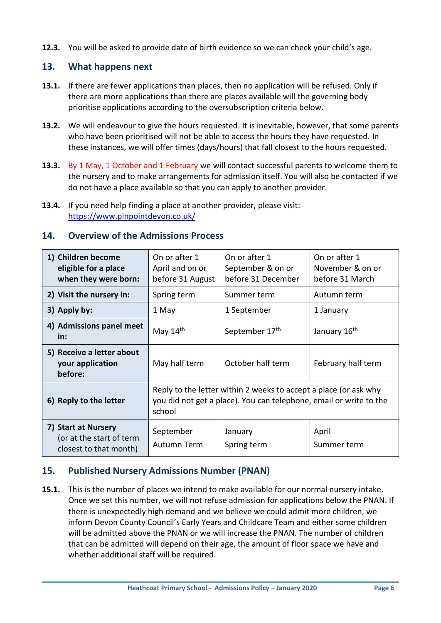**12.3.** You will be asked to provide date of birth evidence so we can check your child's age.

# **13. What happens next**

- **13.1.** If there are fewer applications than places, then no application will be refused. Only if there are more applications than there are places available will the governing body prioritise applications according to the oversubscription criteria below.
- **13.2.** We will endeavour to give the hours requested. It is inevitable, however, that some parents who have been prioritised will not be able to access the hours they have requested. In these instances, we will offer times (days/hours) that fall closest to the hours requested.
- **13.3.** By 1 May, 1 October and 1 February we will contact successful parents to welcome them to the nursery and to make arrangements for admission itself. You will also be contacted if we do not have a place available so that you can apply to another provider.
- **13.4.** If you need help finding a place at another provider, please visit: <https://www.pinpointdevon.co.uk/>

#### **14. Overview of the Admissions Process**

| 1) Children become<br>eligible for a place<br>when they were born:        | On or after 1<br>April and on or<br>before 31 August                                                                                             | On or after 1<br>September & on or<br>before 31 December | On or after 1<br>November & on or<br>before 31 March |
|---------------------------------------------------------------------------|--------------------------------------------------------------------------------------------------------------------------------------------------|----------------------------------------------------------|------------------------------------------------------|
| 2) Visit the nursery in:                                                  | Spring term                                                                                                                                      | Summer term                                              | Autumn term                                          |
| 3) Apply by:                                                              | 1 May                                                                                                                                            | 1 September                                              | 1 January                                            |
| 4) Admissions panel meet<br>in:                                           | May 14th                                                                                                                                         | September 17th                                           | January 16th                                         |
| 5) Receive a letter about<br>your application<br>before:                  | May half term                                                                                                                                    | October half term                                        | February half term                                   |
| 6) Reply to the letter                                                    | Reply to the letter within 2 weeks to accept a place (or ask why<br>you did not get a place). You can telephone, email or write to the<br>school |                                                          |                                                      |
| 7) Start at Nursery<br>(or at the start of term<br>closest to that month) | September<br>Autumn Term                                                                                                                         | January<br>Spring term                                   | April<br>Summer term                                 |

# **15. Published Nursery Admissions Number (PNAN)**

**15.1.** This is the number of places we intend to make available for our normal nursery intake. Once we set this number, we will not refuse admission for applications below the PNAN. If there is unexpectedly high demand and we believe we could admit more children, we inform Devon County Council's Early Years and Childcare Team and either some children will be admitted above the PNAN or we will increase the PNAN. The number of children that can be admitted will depend on their age, the amount of floor space we have and whether additional staff will be required.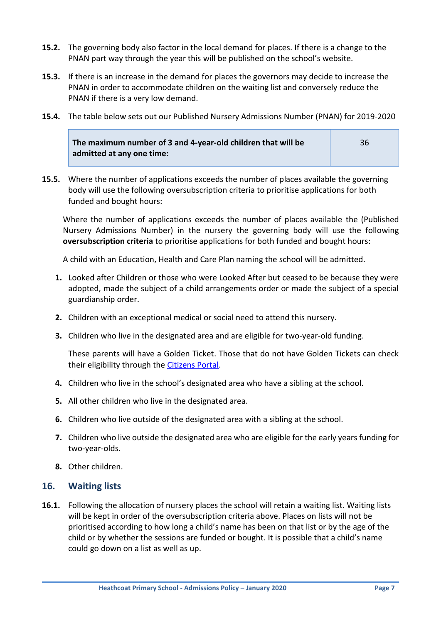- **15.2.** The governing body also factor in the local demand for places. If there is a change to the PNAN part way through the year this will be published on the school's website.
- **15.3.** If there is an increase in the demand for places the governors may decide to increase the PNAN in order to accommodate children on the waiting list and conversely reduce the PNAN if there is a very low demand.
- **15.4.** The table below sets out our Published Nursery Admissions Number (PNAN) for 2019-2020

| The maximum number of 3 and 4-year-old children that will be | 36 |
|--------------------------------------------------------------|----|
| admitted at any one time:                                    |    |

**15.5.** Where the number of applications exceeds the number of places available the governing body will use the following oversubscription criteria to prioritise applications for both funded and bought hours:

Where the number of applications exceeds the number of places available the (Published Nursery Admissions Number) in the nursery the governing body will use the following **oversubscription criteria** to prioritise applications for both funded and bought hours:

A child with an Education, Health and Care Plan naming the school will be admitted.

- **1.** Looked after Children or those who were Looked After but ceased to be because they were adopted, made the subject of a child arrangements order or made the subject of a special guardianship order.
- **2.** Children with an exceptional medical or social need to attend this nursery.
- **3.** Children who live in the designated area and are eligible for two-year-old funding.

These parents will have a Golden Ticket. Those that do not have Golden Tickets can check their eligibility through the [Citizens Portal.](https://oneonline.devon.gov.uk/CCSCitizenPortal_LIVE/Account/Login?ReturnUrl=%2fCCSCitizenPortal_LIVE%2f)

- **4.** Children who live in the school's designated area who have a sibling at the school.
- **5.** All other children who live in the designated area.
- **6.** Children who live outside of the designated area with a sibling at the school.
- **7.** Children who live outside the designated area who are eligible for the early years funding for two-year-olds.
- **8.** Other children.

#### **16. Waiting lists**

**16.1.** Following the allocation of nursery places the school will retain a waiting list. Waiting lists will be kept in order of the oversubscription criteria above. Places on lists will not be prioritised according to how long a child's name has been on that list or by the age of the child or by whether the sessions are funded or bought. It is possible that a child's name could go down on a list as well as up.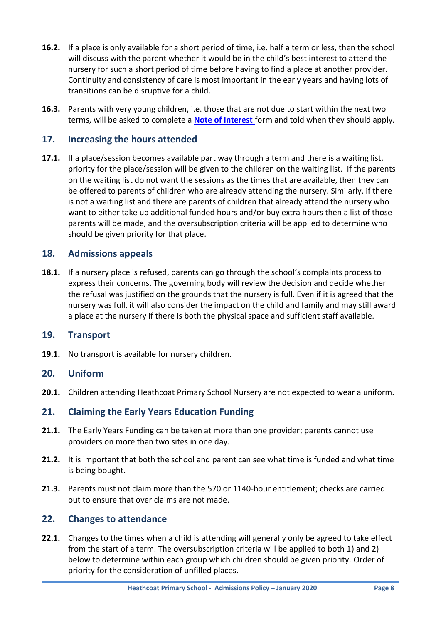- **16.2.** If a place is only available for a short period of time, i.e. half a term or less, then the school will discuss with the parent whether it would be in the child's best interest to attend the nursery for such a short period of time before having to find a place at another provider. Continuity and consistency of care is most important in the early years and having lots of transitions can be disruptive for a child.
- **16.3.** Parents with very young children, i.e. those that are not due to start within the next two terms, will be asked to complete a **[Note of Interest](https://devoncc.sharepoint.com/sites/PublicDocs/Education/_layouts/15/guestaccess.aspx?guestaccesstoken=N7jZ8slbQbKQxxAdShUEPFBBTqUSable2dbl1KhKC%2fY%3d&docid=02c27c8d8ea50484db84383e56a53b455)** form and told when they should apply.

# **17. Increasing the hours attended**

**17.1.** If a place/session becomes available part way through a term and there is a waiting list, priority for the place/session will be given to the children on the waiting list. If the parents on the waiting list do not want the sessions as the times that are available, then they can be offered to parents of children who are already attending the nursery. Similarly, if there is not a waiting list and there are parents of children that already attend the nursery who want to either take up additional funded hours and/or buy extra hours then a list of those parents will be made, and the oversubscription criteria will be applied to determine who should be given priority for that place.

# **18. Admissions appeals**

**18.1.** If a nursery place is refused, parents can go through the school's complaints process to express their concerns. The governing body will review the decision and decide whether the refusal was justified on the grounds that the nursery is full. Even if it is agreed that the nursery was full, it will also consider the impact on the child and family and may still award a place at the nursery if there is both the physical space and sufficient staff available.

#### **19. Transport**

**19.1.** No transport is available for nursery children.

#### **20. Uniform**

**20.1.** Children attending Heathcoat Primary School Nursery are not expected to wear a uniform.

#### **21. Claiming the Early Years Education Funding**

- **21.1.** The Early Years Funding can be taken at more than one provider; parents cannot use providers on more than two sites in one day.
- **21.2.** It is important that both the school and parent can see what time is funded and what time is being bought.
- **21.3.** Parents must not claim more than the 570 or 1140-hour entitlement; checks are carried out to ensure that over claims are not made.

#### **22. Changes to attendance**

**22.1.** Changes to the times when a child is attending will generally only be agreed to take effect from the start of a term. The oversubscription criteria will be applied to both 1) and 2) below to determine within each group which children should be given priority. Order of priority for the consideration of unfilled places.